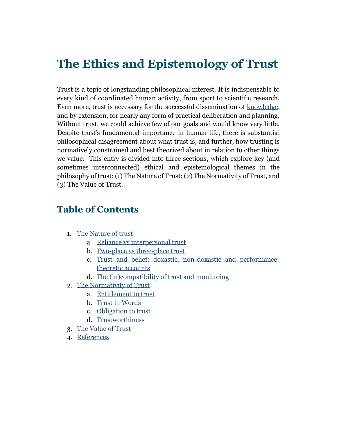# **The Ethics and Epistemology of Trust**

Trust is a topic of longstanding philosophical interest. It is indispensable to every kind of coordinated human activity, from sport to scientific research. Even more, trust is necessary for the successful dissemination of [knowledge,](https://www.iep.utm.edu/knowledg/) and by extension, for nearly any form of practical deliberation and planning. Without trust, we could achieve few of our goals and would know very little. Despite trust's fundamental importance in human life, there is substantial philosophical disagreement about what trust is, and further, how trusting is normatively constrained and best theorized about in relation to other things we value. This entry is divided into three sections, which explore key (and sometimes interconnected) ethical and epistemological themes in the philosophy of trust: (1) The Nature of Trust; (2) The Normativity of Trust, and (3) The Value of Trust.

## <span id="page-0-0"></span>**Table of Contents**

- 1. [The Nature of trust](#page-1-0)
	- a. [Reliance vs interpersonal trust](#page-2-0)
	- b. [Two-place vs three-place trust](#page-4-0)
	- c. [Trust and belief: doxastic, non-doxastic and performance](#page-6-0)[theoretic accounts](#page-6-0)
	- d. [The \(in\)compatibility of trust and monitoring](#page-8-0)
- 2. [The Normativity of Trust](#page-10-0)
	- a. [Entitlement](#page-10-1) to trust
	- b. [Trust in Words](#page-11-0)
	- c. [Obligation to trust](#page-0-0)
	- d. [Trustworthiness](#page-19-0)
- 3. [The Value of Trust](#page-24-0)
- 4. [References](#page-25-0)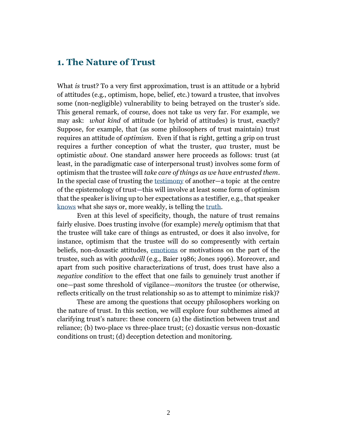#### <span id="page-1-0"></span>**1. The Nature of Trust**

What *is* trust? To a very first approximation, trust is an attitude or a hybrid of attitudes (e.g., optimism, hope, belief, etc.) toward a trustee, that involves some (non-negligible) vulnerability to being betrayed on the truster's side. This general remark, of course, does not take us very far. For example, we may ask: *what kind* of attitude (or hybrid of attitudes) is trust, exactly? Suppose, for example, that (as some philosophers of trust maintain) trust requires an attitude of *optimism*. Even if that is right, getting a grip on trust requires a further conception of what the truster, *qua* truster, must be optimistic *about*. One standard answer here proceeds as follows: trust (at least, in the paradigmatic case of interpersonal trust) involves some form of optimism that the trustee will *take care of things as we have entrusted them*. In the special case of trusting the [testimony](https://www.iep.utm.edu/ep-testi/) of another—a topic at the centre of the epistemology of trust—this will involve at least some form of optimism that the speaker is living up to her expectations as a testifier, e.g., that speaker [knows](https://www.iep.utm.edu/kn-norms/) what she says or, more weakly, is telling the [truth.](https://www.iep.utm.edu/truth/)

Even at this level of specificity, though, the nature of trust remains fairly elusive. Does trusting involve (for example) *merely* optimism that that the trustee will take care of things as entrusted, or does it also involve, for instance, optimism that the trustee will do so compresently with certain beliefs, non-doxastic attitudes, [emotions](https://www.iep.utm.edu/emotion/) or motivations on the part of the trustee, such as with *goodwill* (e.g., Baier 1986; Jones 1996). Moreover, and apart from such positive characterizations of trust, does trust have also a *negative condition* to the effect that one fails to genuinely trust another if one—past some threshold of vigilance—*monitors* the trustee (or otherwise, reflects critically on the trust relationship so as to attempt to minimize risk)?

These are among the questions that occupy philosophers working on the nature of trust. In this section, we will explore four subthemes aimed at clarifying trust's nature: these concern (a) the distinction between trust and reliance; (b) two-place vs three-place trust; (c) doxastic versus non-doxastic conditions on trust; (d) deception detection and monitoring.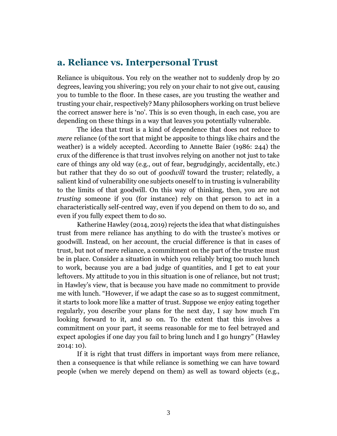#### <span id="page-2-0"></span>**a. Reliance vs. Interpersonal Trust**

Reliance is ubiquitous. You rely on the weather not to suddenly drop by 20 degrees, leaving you shivering; you rely on your chair to not give out, causing you to tumble to the floor. In these cases, are you trusting the weather and trusting your chair, respectively? Many philosophers working on trust believe the correct answer here is 'no'. This is so even though, in each case, you are depending on these things in a way that leaves you potentially vulnerable.

The idea that trust is a kind of dependence that does not reduce to *mere* reliance (of the sort that might be apposite to things like chairs and the weather) is a widely accepted. According to Annette Baier (1986: 244) the crux of the difference is that trust involves relying on another not just to take care of things any old way (e.g., out of fear, begrudgingly, accidentally, etc.) but rather that they do so out of *goodwill* toward the truster; relatedly, a salient kind of vulnerability one subjects oneself to in trusting is vulnerability to the limits of that goodwill. On this way of thinking, then, you are not *trusting* someone if you (for instance) rely on that person to act in a characteristically self-centred way, even if you depend on them to do so, and even if you fully expect them to do so.

Katherine Hawley (2014, 2019) rejects the idea that what distinguishes trust from mere reliance has anything to do with the trustee's motives or goodwill. Instead, on her account, the crucial difference is that in cases of trust, but not of mere reliance, a commitment on the part of the trustee must be in place. Consider a situation in which you reliably bring too much lunch to work, because you are a bad judge of quantities, and I get to eat your leftovers. My attitude to you in this situation is one of reliance, but not trust; in Hawley's view, that is because you have made no commitment to provide me with lunch. "However, if we adapt the case so as to suggest commitment, it starts to look more like a matter of trust. Suppose we enjoy eating together regularly, you describe your plans for the next day, I say how much I'm looking forward to it, and so on. To the extent that this involves a commitment on your part, it seems reasonable for me to feel betrayed and expect apologies if one day you fail to bring lunch and I go hungry" (Hawley 2014: 10).

If it is right that trust differs in important ways from mere reliance, then a consequence is that while reliance is something we can have toward people (when we merely depend on them) as well as toward objects (e.g.,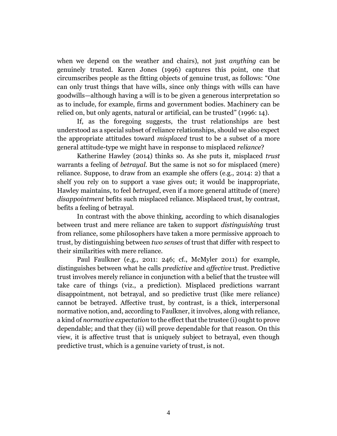when we depend on the weather and chairs), not just *anything* can be genuinely trusted. Karen Jones (1996) captures this point, one that circumscribes people as the fitting objects of genuine trust, as follows: "One can only trust things that have wills, since only things with wills can have goodwills—although having a will is to be given a generous interpretation so as to include, for example, firms and government bodies. Machinery can be relied on, but only agents, natural or artificial, can be trusted" (1996: 14).

If, as the foregoing suggests, the trust relationships are best understood as a special subset of reliance relationships, should we also expect the appropriate attitudes toward *misplaced* trust to be a subset of a more general attitude-type we might have in response to misplaced *reliance*?

Katherine Hawley (2014) thinks so. As she puts it, misplaced *trust*  warrants a feeling of *betrayal*. But the same is not so for misplaced (mere) reliance. Suppose, to draw from an example she offers (e.g., 2014: 2) that a shelf you rely on to support a vase gives out; it would be inappropriate, Hawley maintains, to feel *betrayed*, even if a more general attitude of (mere) *disappointment* befits such misplaced reliance. Misplaced trust, by contrast, befits a feeling of betrayal.

In contrast with the above thinking, according to which disanalogies between trust and mere reliance are taken to support *distinguishing* trust from reliance, some philosophers have taken a more permissive approach to trust, by distinguishing between *two senses* of trust that differ with respect to their similarities with mere reliance.

Paul Faulkner (e.g., 2011: 246; cf., McMyler 2011) for example, distinguishes between what he calls *predictive* and *affective* trust. Predictive trust involves merely reliance in conjunction with a belief that the trustee will take care of things (viz., a prediction). Misplaced predictions warrant disappointment, not betrayal, and so predictive trust (like mere reliance) cannot be betrayed. Affective trust, by contrast, is a thick, interpersonal normative notion, and, according to Faulkner, it involves, along with reliance, a kind of *normative expectation* to the effect that the trustee (i) ought to prove dependable; and that they (ii) will prove dependable for that reason. On this view, it is affective trust that is uniquely subject to betrayal, even though predictive trust, which is a genuine variety of trust, is not.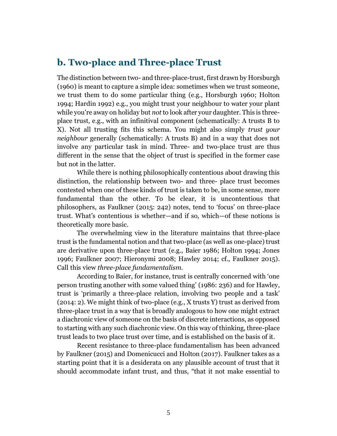## <span id="page-4-0"></span>**b. Two-place and Three-place Trust**

The distinction between two- and three-place-trust, first drawn by Horsburgh (1960) is meant to capture a simple idea: sometimes when we trust someone, we trust them to do some particular thing (e.g., Horsburgh 1960; Holton 1994; Hardin 1992) e.g., you might trust your neighbour to water your plant while you're away on holiday but *not* to look after your daughter. This is threeplace trust, e.g., with an infinitival component (schematically: A trusts B to X). Not all trusting fits this schema. You might also simply *trust your neighbour* generally (schematically: A trusts B) and in a way that does not involve any particular task in mind. Three- and two-place trust are thus different in the sense that the object of trust is specified in the former case but not in the latter.

While there is nothing philosophically contentious about drawing this distinction, the relationship between two- and three- place trust becomes contested when one of these kinds of trust is taken to be, in some sense, more fundamental than the other. To be clear, it is uncontentious that philosophers, as Faulkner (2015: 242) notes, tend to 'focus' on three-place trust. What's contentious is whether—and if so, which—of these notions is theoretically more basic.

The overwhelming view in the literature maintains that three-place trust is the fundamental notion and that two-place (as well as one-place) trust are derivative upon three-place trust (e.g., Baier 1986; Holton 1994; Jones 1996; Faulkner 2007; Hieronymi 2008; Hawley 2014; cf., Faulkner 2015). Call this view *three-place fundamentalism.* 

According to Baier, for instance, trust is centrally concerned with 'one person trusting another with some valued thing' (1986: 236) and for Hawley, trust is 'primarily a three-place relation, involving two people and a task' (2014: 2). We might think of two-place (e.g., X trusts Y) trust as derived from three-place trust in a way that is broadly analogous to how one might extract a diachronic view of someone on the basis of discrete interactions, as opposed to starting with any such diachronic view. On this way of thinking, three-place trust leads to two place trust over time, and is established on the basis of it.

Recent resistance to three-place fundamentalism has been advanced by Faulkner (2015) and Domenicucci and Holton (2017). Faulkner takes as a starting point that it is a desiderata on any plausible account of trust that it should accommodate infant trust, and thus, "that it not make essential to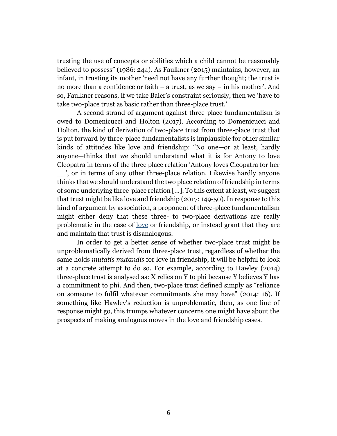trusting the use of concepts or abilities which a child cannot be reasonably believed to possess" (1986: 244). As Faulkner (2015) maintains, however, an infant, in trusting its mother 'need not have any further thought; the trust is no more than a confidence or faith – a trust, as we say – in his mother'. And so, Faulkner reasons, if we take Baier's constraint seriously, then we 'have to take two-place trust as basic rather than three-place trust.'

A second strand of argument against three-place fundamentalism is owed to Domenicucci and Holton (2017). According to Domenicucci and Holton, the kind of derivation of two-place trust from three-place trust that is put forward by three-place fundamentalists is implausible for other similar kinds of attitudes like love and friendship: "No one—or at least, hardly anyone—thinks that we should understand what it is for Antony to love Cleopatra in terms of the three place relation 'Antony loves Cleopatra for her \_\_', or in terms of any other three-place relation. Likewise hardly anyone thinks that we should understand the two place relation of friendship in terms of some underlying three-place relation […]. To this extent at least, we suggest that trust might be like love and friendship (2017: 149-50). In response to this kind of argument by association, a proponent of three-place fundamentalism might either deny that these three- to two-place derivations are really problematic in the case of [love](https://www.iep.utm.edu/love/) or friendship, or instead grant that they are and maintain that trust is disanalogous.

In order to get a better sense of whether two-place trust might be unproblematically derived from three-place trust, regardless of whether the same holds *mutatis mutandis* for love in friendship, it will be helpful to look at a concrete attempt to do so. For example, according to Hawley (2014) three-place trust is analysed as: X relies on Y to phi because Y believes Y has a commitment to phi. And then, two-place trust defined simply as "reliance on someone to fulfil whatever commitments she may have" (2014: 16). If something like Hawley's reduction is unproblematic, then, as one line of response might go, this trumps whatever concerns one might have about the prospects of making analogous moves in the love and friendship cases.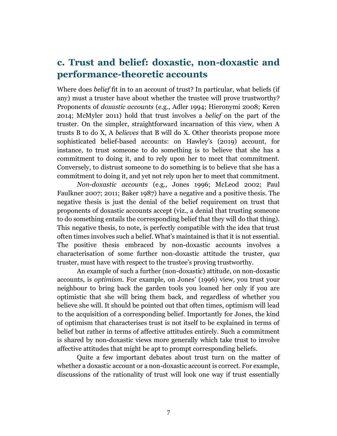## <span id="page-6-0"></span>**c. Trust and belief: doxastic, non-doxastic and performance-theoretic accounts**

Where does *belief* fit in to an account of trust? In particular, what beliefs (if any) must a truster have about whether the trustee will prove trustworthy? Proponents of *doxastic accounts* (e.g., Adler 1994; Hieronymi 2008; Keren 2014; McMyler 2011) hold that trust involves a *belief* on the part of the truster. On the simpler, straightforward incarnation of this view, when A trusts B to do X, A *believes* that B will do X. Other theorists propose more sophisticated belief-based accounts: on Hawley's (2019) account, for instance, to trust someone to do something is to believe that she has a commitment to doing it, and to rely upon her to meet that commitment. Conversely, to distrust someone to do something is to believe that she has a commitment to doing it, and yet not rely upon her to meet that commitment.

*Non-doxastic accounts* (e.g., Jones 1996; McLeod 2002; Paul Faulkner 2007; 2011; Baker 1987) have a negative and a positive thesis. The negative thesis is just the denial of the belief requirement on trust that proponents of doxastic accounts accept (viz., a denial that trusting someone to do something entails the corresponding belief that they will do that thing). This negative thesis, to note, is perfectly compatible with the idea that trust often times involves such a belief. What's maintained is that it is not essential. The positive thesis embraced by non-doxastic accounts involves a characterisation of some further non-doxastic attitude the truster, *qua* truster, must have with respect to the trustee's proving trustworthy.

An example of such a further (non-doxastic) attitude, on non-doxastic accounts, is *optimism.* For example, on Jones' (1996) view, you trust your neighbour to bring back the garden tools you loaned her only if you are optimistic that she will bring them back, and regardless of whether you believe she will. It should be pointed out that often times, optimism will lead to the acquisition of a corresponding belief. Importantly for Jones, the kind of optimism that characterises trust is not itself to be explained in terms of belief but rather in terms of affective attitudes entirely. Such a commitment is shared by non-doxastic views more generally which take trust to involve affective attitudes that might be apt to prompt corresponding beliefs.

Quite a few important debates about trust turn on the matter of whether a doxastic account or a non-doxastic account is correct. For example, discussions of the rationality of trust will look one way if trust essentially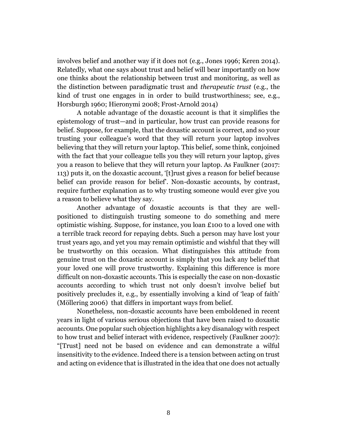involves belief and another way if it does not (e.g., Jones 1996; Keren 2014). Relatedly, what one says about trust and belief will bear importantly on how one thinks about the relationship between trust and monitoring, as well as the distinction between paradigmatic trust and *therapeutic trust* (e.g., the kind of trust one engages in in order to build trustworthiness; see, e.g., Horsburgh 1960; Hieronymi 2008; Frost-Arnold 2014)

A notable advantage of the doxastic account is that it simplifies the epistemology of trust—and in particular, how trust can provide reasons for belief. Suppose, for example, that the doxastic account is correct, and so your trusting your colleague's word that they will return your laptop involves believing that they will return your laptop. This belief, some think, conjoined with the fact that your colleague tells you they will return your laptop, gives you a reason to believe that they will return your laptop. As Faulkner (2017: 113) puts it, on the doxastic account, '[t]rust gives a reason for belief because belief can provide reason for belief'. Non-doxastic accounts, by contrast, require further explanation as to why trusting someone would ever give you a reason to believe what they say.

Another advantage of doxastic accounts is that they are wellpositioned to distinguish trusting someone to do something and mere optimistic wishing. Suppose, for instance, you loan £100 to a loved one with a terrible track record for repaying debts. Such a person may have lost your trust years ago, and yet you may remain optimistic and wishful that they will be trustworthy on this occasion. What distinguishes this attitude from genuine trust on the doxastic account is simply that you lack any belief that your loved one will prove trustworthy. Explaining this difference is more difficult on non-doxastic accounts. This is especially the case on non-doxastic accounts according to which trust not only doesn't involve belief but positively precludes it, e.g., by essentially involving a kind of 'leap of faith' (Möllering 2006) that differs in important ways from belief.

Nonetheless, non-doxastic accounts have been emboldened in recent years in light of various serious objections that have been raised to doxastic accounts. One popular such objection highlights a key disanalogy with respect to how trust and belief interact with evidence, respectively (Faulkner 2007): "[Trust] need not be based on evidence and can demonstrate a wilful insensitivity to the evidence. Indeed there is a tension between acting on trust and acting on evidence that is illustrated in the idea that one does not actually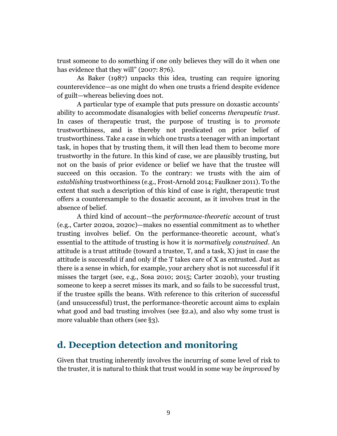trust someone to do something if one only believes they will do it when one has evidence that they will" (2007: 876).

As Baker (1987) unpacks this idea, trusting can require ignoring counterevidence—as one might do when one trusts a friend despite evidence of guilt—whereas believing does not.

A particular type of example that puts pressure on doxastic accounts' ability to accommodate disanalogies with belief concerns *therapeutic trust.*  In cases of therapeutic trust, the purpose of trusting is to *promote*  trustworthiness, and is thereby not predicated on prior belief of trustworthiness. Take a case in which one trusts a teenager with an important task, in hopes that by trusting them, it will then lead them to become more trustworthy in the future. In this kind of case, we are plausibly trusting, but not on the basis of prior evidence or belief we have that the trustee will succeed on this occasion. To the contrary: we trusts with the aim of *establishing* trustworthiness (e.g., Frost-Arnold 2014; Faulkner 2011). To the extent that such a description of this kind of case is right, therapeutic trust offers a counterexample to the doxastic account, as it involves trust in the absence of belief.

A third kind of account—the *performance-theoretic* account of trust (e.g., Carter 2020a, 2020c)—makes no essential commitment as to whether trusting involves belief. On the performance-theoretic account, what's essential to the attitude of trusting is how it is *normatively constrained*. An attitude is a trust attitude (toward a trustee, T, and a task, X) just in case the attitude is successful if and only if the T takes care of X as entrusted. Just as there is a sense in which, for example, your archery shot is not successful if it misses the target (see, e.g., Sosa 2010; 2015; Carter 2020b), your trusting someone to keep a secret misses its mark, and so fails to be successful trust, if the trustee spills the beans. With reference to this criterion of successful (and unsuccessful) trust, the performance-theoretic account aims to explain what good and bad trusting involves (see §2.a), and also why some trust is more valuable than others (see §3).

## <span id="page-8-0"></span>**d. Deception detection and monitoring**

Given that trusting inherently involves the incurring of some level of risk to the truster, it is natural to think that trust would in some way be *improved* by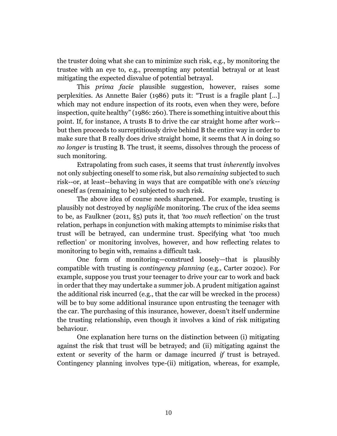the truster doing what she can to minimize such risk, e.g., by monitoring the trustee with an eye to, e.g., preempting any potential betrayal or at least mitigating the expected disvalue of potential betrayal.

This *prima facie* plausible suggestion, however, raises some perplexities. As Annette Baier (1986) puts it: "Trust is a fragile plant [...] which may not endure inspection of its roots, even when they were, before inspection, quite healthy" (1986: 260). There is something intuitive about this point. If, for instance, A trusts B to drive the car straight home after work- but then proceeds to surreptitiously drive behind B the entire way in order to make sure that B really does drive straight home, it seems that A in doing so *no longer* is trusting B. The trust, it seems, dissolves through the process of such monitoring.

Extrapolating from such cases, it seems that trust *inherently* involves not only subjecting oneself to some risk, but also *remaining* subjected to such risk--or, at least--behaving in ways that are compatible with one's *viewing*  oneself as (remaining to be) subjected to such risk.

The above idea of course needs sharpened. For example, trusting is plausibly not destroyed by *negligible* monitoring. The crux of the idea seems to be, as Faulkner (2011, §5) puts it, that *'too much* reflection' on the trust relation, perhaps in conjunction with making attempts to minimise risks that trust will be betrayed, can undermine trust. Specifying what 'too much reflection' or monitoring involves, however, and how reflecting relates to monitoring to begin with, remains a difficult task.

One form of monitoring—construed loosely—that is plausibly compatible with trusting is *contingency planning* (e.g., Carter 2020c). For example, suppose you trust your teenager to drive your car to work and back in order that they may undertake a summer job. A prudent mitigation against the additional risk incurred (e.g., that the car will be wrecked in the process) will be to buy some additional insurance upon entrusting the teenager with the car. The purchasing of this insurance, however, doesn't itself undermine the trusting relationship, even though it involves a kind of risk mitigating behaviour.

One explanation here turns on the distinction between (i) mitigating against the risk that trust will be betrayed; and (ii) mitigating against the extent or severity of the harm or damage incurred *if* trust is betrayed. Contingency planning involves type-(ii) mitigation, whereas, for example,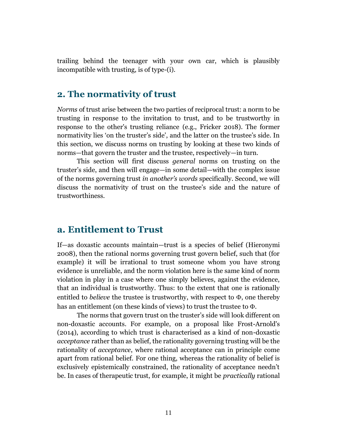trailing behind the teenager with your own car, which is plausibly incompatible with trusting, is of type-(i).

#### <span id="page-10-0"></span>**2. The normativity of trust**

*Norms* of trust arise between the two parties of reciprocal trust: a norm to be trusting in response to the invitation to trust, and to be trustworthy in response to the other's trusting reliance (e.g., Fricker 2018). The former normativity lies 'on the truster's side', and the latter on the trustee's side. In this section, we discuss norms on trusting by looking at these two kinds of norms—that govern the truster and the trustee, respectively—in turn.

This section will first discuss *general* norms on trusting on the truster's side, and then will engage—in some detail—with the complex issue of the norms governing trust *in another's words* specifically. Second, we will discuss the normativity of trust on the trustee's side and the nature of trustworthiness.

#### <span id="page-10-1"></span>**a. Entitlement to Trust**

If—as doxastic accounts maintain—trust is a species of belief (Hieronymi 2008), then the rational norms governing trust govern belief, such that (for example) it will be irrational to trust someone whom you have strong evidence is unreliable, and the norm violation here is the same kind of norm violation in play in a case where one simply believes, against the evidence, that an individual is trustworthy. Thus: to the extent that one is rationally entitled to *believe* the trustee is trustworthy, with respect to  $\Phi$ , one thereby has an entitlement (on these kinds of views) to trust the trustee to  $\Phi$ .

The norms that govern trust on the truster's side will look different on non-doxastic accounts. For example, on a proposal like Frost-Arnold's (2014), according to which trust is characterised as a kind of non-doxastic *acceptance* rather than as belief, the rationality governing trusting will be the rationality of *acceptance*, where rational acceptance can in principle come apart from rational belief. For one thing, whereas the rationality of belief is exclusively epistemically constrained, the rationality of acceptance needn't be. In cases of therapeutic trust, for example, it might be *practically* rational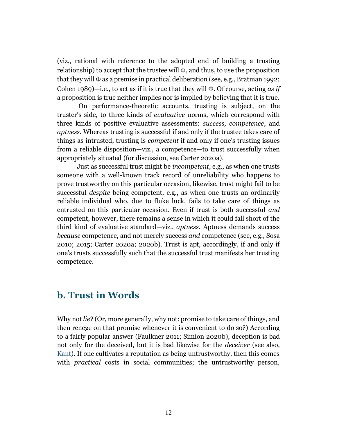(viz., rational with reference to the adopted end of building a trusting relationship) to accept that the trustee will  $\Phi$ , and thus, to use the proposition that they will  $\Phi$  as a premise in practical deliberation (see, e.g., Bratman 1992; Cohen  $1989$ —i.e., to act as if it is true that they will  $\Phi$ . Of course, acting *as if* a proposition is true neither implies nor is implied by believing that it is true.

On performance-theoretic accounts, trusting is subject, on the truster's side, to three kinds of *evaluative* norms, which correspond with three kinds of positive evaluative assessments: *success, competence*, and *aptness.* Whereas trusting is successful if and only if the trustee takes care of things as intrusted, trusting is *competent* if and only if one's trusting issues from a reliable disposition—viz., a competence—to trust successfully when appropriately situated (for discussion, see Carter 2020a).

Just as successful trust might be *incompetent*, e.g., as when one trusts someone with a well-known track record of unreliability who happens to prove trustworthy on this particular occasion, likewise, trust might fail to be successful *despite* being competent, e.g., as when one trusts an ordinarily reliable individual who, due to fluke luck, fails to take care of things as entrusted on this particular occasion. Even if trust is both successful *and*  competent, however, there remains a sense in which it could fall short of the third kind of evaluative standard—viz., *aptness.* Aptness demands success *because* competence, and not merely success *and* competence (see, e.g., Sosa 2010; 2015; Carter 2020a; 2020b). Trust is apt, accordingly, if and only if one's trusts successfully such that the successful trust manifests her trusting competence.

#### <span id="page-11-0"></span>**b. Trust in Words**

Why not *lie*? (Or, more generally, why not: promise to take care of things, and then renege on that promise whenever it is convenient to do so?) According to a fairly popular answer (Faulkner 2011; Simion 2020b), deception is bad not only for the deceived, but it is bad likewise for the *deceiver* (see also, [Kant\)](https://www.iep.utm.edu/kantview/). If one cultivates a reputation as being untrustworthy, then this comes with *practical* costs in social communities; the untrustworthy person,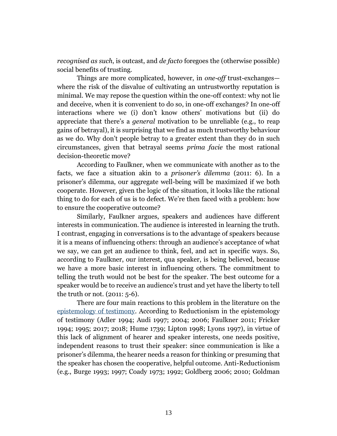*recognised as such*, is outcast, and *de facto* foregoes the (otherwise possible) social benefits of trusting.

Things are more complicated, however, in *one-off* trust-exchanges where the risk of the disvalue of cultivating an untrustworthy reputation is minimal. We may repose the question within the one-off context: why not lie and deceive, when it is convenient to do so, in one-off exchanges? In one-off interactions where we (i) don't know others' motivations but (ii) do appreciate that there's a *general* motivation to be unreliable (e.g., to reap gains of betrayal), it is surprising that we find as much trustworthy behaviour as we do. Why don't people betray to a greater extent than they do in such circumstances, given that betrayal seems *prima facie* the most rational decision-theoretic move?

According to Faulkner, when we communicate with another as to the facts, we face a situation akin to a *prisoner's dilemma* (2011: 6). In a prisoner's dilemma, our aggregate well-being will be maximized if we both cooperate. However, given the logic of the situation, it looks like the rational thing to do for each of us is to defect. We're then faced with a problem: how to ensure the cooperative outcome?

Similarly, Faulkner argues, speakers and audiences have different interests in communication. The audience is interested in learning the truth. I contrast, engaging in conversations is to the advantage of speakers because it is a means of influencing others: through an audience's acceptance of what we say, we can get an audience to think, feel, and act in specific ways. So, according to Faulkner, our interest, qua speaker, is being believed, because we have a more basic interest in influencing others. The commitment to telling the truth would not be best for the speaker. The best outcome for a speaker would be to receive an audience's trust and yet have the liberty to tell the truth or not. (2011: 5-6).

There are four main reactions to this problem in the literature on the [epistemology of testimony.](https://www.iep.utm.edu/ep-testi/) According to Reductionism in the epistemology of testimony (Adler 1994; Audi 1997; 2004; 2006; Faulkner 2011; Fricker 1994; 1995; 2017; 2018; Hume 1739; Lipton 1998; Lyons 1997), in virtue of this lack of alignment of hearer and speaker interests, one needs positive, independent reasons to trust their speaker: since communication is like a prisoner's dilemma, the hearer needs a reason for thinking or presuming that the speaker has chosen the cooperative, helpful outcome. Anti-Reductionism (e.g., Burge 1993; 1997; Coady 1973; 1992; Goldberg 2006; 2010; Goldman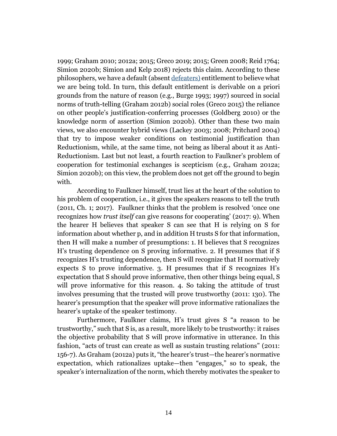1999; Graham 2010; 2012a; 2015; Greco 2019; 2015; Green 2008; Reid 1764; Simion 2020b; Simion and Kelp 2018) rejects this claim. According to these philosophers, we have a default (absent [defeaters\)](https://www.iep.utm.edu/ep-defea/) entitlement to believe what we are being told. In turn, this default entitlement is derivable on a priori grounds from the nature of reason (e.g., Burge 1993; 1997) sourced in social norms of truth-telling (Graham 2012b) social roles (Greco 2015) the reliance on other people's justification-conferring processes (Goldberg 2010) or the knowledge norm of assertion (Simion 2020b). Other than these two main views, we also encounter hybrid views (Lackey 2003; 2008; Pritchard 2004) that try to impose weaker conditions on testimonial justification than Reductionism, while, at the same time, not being as liberal about it as Anti-Reductionism. Last but not least, a fourth reaction to Faulkner's problem of cooperation for testimonial exchanges is scepticism (e.g., Graham 2012a; Simion 2020b); on this view, the problem does not get off the ground to begin with.

According to Faulkner himself, trust lies at the heart of the solution to his problem of cooperation, i.e., it gives the speakers reasons to tell the truth (2011, Ch. 1; 2017). Faulkner thinks that the problem is resolved 'once one recognizes how *trust itself* can give reasons for cooperating' (2017: 9). When the hearer H believes that speaker S can see that H is relying on S for information about whether p, and in addition H trusts S for that information, then H will make a number of presumptions: 1. H believes that S recognizes H's trusting dependence on S proving informative. 2. H presumes that if S recognizes H's trusting dependence, then S will recognize that H normatively expects S to prove informative. 3. H presumes that if S recognizes H's expectation that S should prove informative, then other things being equal, S will prove informative for this reason. 4. So taking the attitude of trust involves presuming that the trusted will prove trustworthy (2011: 130). The hearer's presumption that the speaker will prove informative rationalizes the hearer's uptake of the speaker testimony.

Furthermore, Faulkner claims, H's trust gives S "a reason to be trustworthy," such that S is, as a result, more likely to be trustworthy: it raises the objective probability that S will prove informative in utterance. In this fashion, "acts of trust can create as well as sustain trusting relations" (2011: 156-7). As Graham (2012a) puts it, "the hearer's trust—the hearer's normative expectation, which rationalizes uptake—then "engages," so to speak, the speaker's internalization of the norm, which thereby motivates the speaker to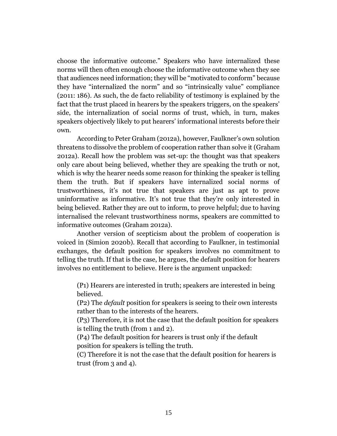choose the informative outcome." Speakers who have internalized these norms will then often enough choose the informative outcome when they see that audiences need information; they will be "motivated to conform" because they have "internalized the norm" and so "intrinsically value" compliance (2011: 186). As such, the de facto reliability of testimony is explained by the fact that the trust placed in hearers by the speakers triggers, on the speakers' side, the internalization of social norms of trust, which, in turn, makes speakers objectively likely to put hearers' informational interests before their own.

According to Peter Graham (2012a), however, Faulkner's own solution threatens to dissolve the problem of cooperation rather than solve it (Graham 2012a). Recall how the problem was set-up: the thought was that speakers only care about being believed, whether they are speaking the truth or not, which is why the hearer needs some reason for thinking the speaker is telling them the truth. But if speakers have internalized social norms of trustworthiness, it's not true that speakers are just as apt to prove uninformative as informative. It's not true that they're only interested in being believed. Rather they are out to inform, to prove helpful; due to having internalised the relevant trustworthiness norms, speakers are committed to informative outcomes (Graham 2012a).

Another version of scepticism about the problem of cooperation is voiced in (Simion 2020b). Recall that according to Faulkner, in testimonial exchanges, the default position for speakers involves no commitment to telling the truth. If that is the case, he argues, the default position for hearers involves no entitlement to believe. Here is the argument unpacked:

(P1) Hearers are interested in truth; speakers are interested in being believed.

(P2) The *default* position for speakers is seeing to their own interests rather than to the interests of the hearers.

(P3) Therefore, it is not the case that the default position for speakers is telling the truth (from 1 and 2).

(P4) The default position for hearers is trust only if the default position for speakers is telling the truth.

(C) Therefore it is not the case that the default position for hearers is trust (from 3 and 4).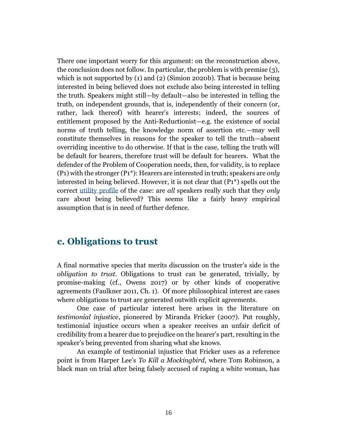There one important worry for this argument: on the reconstruction above, the conclusion does not follow. In particular, the problem is with premise (3), which is not supported by (1) and (2) (Simion 2020b). That is because being interested in being believed does not exclude also being interested in telling the truth. Speakers might still—by default—also be interested in telling the truth, on independent grounds, that is, independently of their concern (or, rather, lack thereof) with hearer's interests; indeed, the sources of entitlement proposed by the Anti-Reductionist—e.g. the existence of social norms of truth telling, the knowledge norm of assertion etc.—may well constitute themselves in reasons for the speaker to tell the truth—absent overriding incentive to do otherwise. If that is the case, telling the truth will be default for hearers, therefore trust will be default for hearers. What the defender of the Problem of Cooperation needs, then, for validity, is to replace (P1) with the stronger (P1\*): Hearers are interested in truth; speakers are *only* interested in being believed. However, it is not clear that (P1\*) spells out the correct [utility profile](https://www.iep.utm.edu/util-a-r/) of the case: are *all* speakers really such that they *only* care about being believed? This seems like a fairly heavy empirical assumption that is in need of further defence.

#### **c. Obligations to trust**

A final normative species that merits discussion on the truster's side is the *obligation to trust.* Obligations to trust can be generated, trivially, by promise-making (cf., Owens 2017) or by other kinds of cooperative agreements (Faulkner 2011, Ch. 1). Of more philosophical interest are cases where obligations to trust are generated outwith explicit agreements.

One case of particular interest here arises in the literature on *testimonial injustice*, pioneered by Miranda Fricker (2007). Put roughly, testimonial injustice occurs when a speaker receives an unfair deficit of credibility from a hearer due to prejudice on the hearer's part, resulting in the speaker's being prevented from sharing what she knows.

An example of testimonial injustice that Fricker uses as a reference point is from Harper Lee's *To Kill a Mockingbird*, where Tom Robinson, a black man on trial after being falsely accused of raping a white woman, has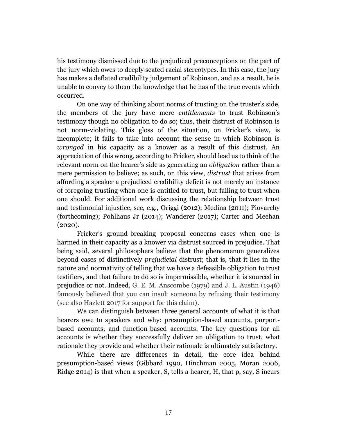his testimony dismissed due to the prejudiced preconceptions on the part of the jury which owes to deeply seated racial stereotypes. In this case, the jury has makes a deflated credibility judgement of Robinson, and as a result, he is unable to convey to them the knowledge that he has of the true events which occurred.

On one way of thinking about norms of trusting on the truster's side, the members of the jury have mere *entitlements* to trust Robinson's testimony though no obligation to do so; thus, their distrust of Robinson is not norm-violating. This gloss of the situation, on Fricker's view, is incomplete; it fails to take into account the sense in which Robinson is *wronged* in his capacity as a knower as a result of this distrust. An appreciation of this wrong, according to Fricker, should lead us to think of the relevant norm on the hearer's side as generating an *obligation* rather than a mere permission to believe; as such, on this view, *distrust* that arises from affording a speaker a prejudiced credibility deficit is not merely an instance of foregoing trusting when one is entitled to trust, but failing to trust when one should. For additional work discussing the relationship between trust and testimonial injustice, see, e.g., Origgi (2012); Medina (2011); Piovarchy (forthcoming); Pohlhaus Jr (2014); Wanderer (2017); Carter and Meehan (2020).

Fricker's ground-breaking proposal concerns cases when one is harmed in their capacity as a knower via distrust sourced in prejudice. That being said, several philosophers believe that the phenomenon generalizes beyond cases of distinctively *prejudicial* distrust; that is, that it lies in the nature and normativity of telling that we have a defeasible obligation to trust testifiers, and that failure to do so is impermissible, whether it is sourced in prejudice or not. Indeed, G. E. M. Anscombe (1979) and J. L. Austin (1946) famously believed that you can insult someone by refusing their testimony (see also Hazlett 2017 for support for this claim).

We can distinguish between three general accounts of what it is that hearers owe to speakers and why: presumption-based accounts, purportbased accounts, and function-based accounts. The key questions for all accounts is whether they successfully deliver an obligation to trust, what rationale they provide and whether their rationale is ultimately satisfactory.

While there are differences in detail, the core idea behind presumption-based views (Gibbard 1990, Hinchman 2005, Moran 2006, Ridge 2014) is that when a speaker, S, tells a hearer, H, that p, say, S incurs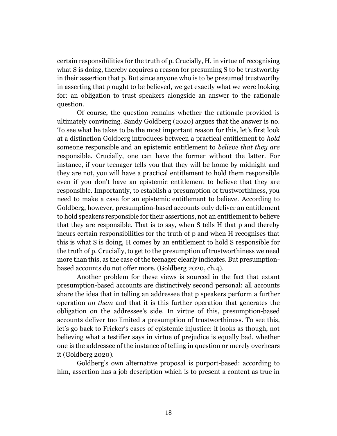certain responsibilities for the truth of p. Crucially, H, in virtue of recognising what S is doing, thereby acquires a reason for presuming S to be trustworthy in their assertion that p. But since anyone who is to be presumed trustworthy in asserting that p ought to be believed, we get exactly what we were looking for: an obligation to trust speakers alongside an answer to the rationale question.

Of course, the question remains whether the rationale provided is ultimately convincing. Sandy Goldberg (2020) argues that the answer is no. To see what he takes to be the most important reason for this, let's first look at a distinction Goldberg introduces between a practical entitlement to *hold* someone responsible and an epistemic entitlement to *believe that they are* responsible. Crucially, one can have the former without the latter. For instance, if your teenager tells you that they will be home by midnight and they are not, you will have a practical entitlement to hold them responsible even if you don't have an epistemic entitlement to believe that they are responsible. Importantly, to establish a presumption of trustworthiness, you need to make a case for an epistemic entitlement to believe. According to Goldberg, however, presumption-based accounts only deliver an entitlement to hold speakers responsible for their assertions, not an entitlement to believe that they are responsible. That is to say, when S tells H that p and thereby incurs certain responsibilities for the truth of p and when H recognises that this is what S is doing, H comes by an entitlement to hold S responsible for the truth of p. Crucially, to get to the presumption of trustworthiness we need more than this, as the case of the teenager clearly indicates. But presumptionbased accounts do not offer more. (Goldberg 2020, ch.4).

Another problem for these views is sourced in the fact that extant presumption-based accounts are distinctively second personal: all accounts share the idea that in telling an addressee that p speakers perform a further operation *on them* and that it is this further operation that generates the obligation on the addressee's side. In virtue of this, presumption-based accounts deliver too limited a presumption of trustworthiness. To see this, let's go back to Fricker's cases of epistemic injustice: it looks as though, not believing what a testifier says in virtue of prejudice is equally bad, whether one is the addressee of the instance of telling in question or merely overhears it (Goldberg 2020).

Goldberg's own alternative proposal is purport-based: according to him, assertion has a job description which is to present a content as true in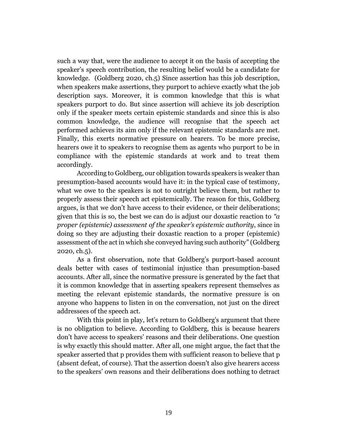such a way that, were the audience to accept it on the basis of accepting the speaker's speech contribution, the resulting belief would be a candidate for knowledge. (Goldberg 2020, ch.5) Since assertion has this job description, when speakers make assertions, they purport to achieve exactly what the job description says. Moreover, it is common knowledge that this is what speakers purport to do. But since assertion will achieve its job description only if the speaker meets certain epistemic standards and since this is also common knowledge, the audience will recognise that the speech act performed achieves its aim only if the relevant epistemic standards are met. Finally, this exerts normative pressure on hearers. To be more precise, hearers owe it to speakers to recognise them as agents who purport to be in compliance with the epistemic standards at work and to treat them accordingly.

According to Goldberg, our obligation towards speakers is weaker than presumption-based accounts would have it: in the typical case of testimony, what we owe to the speakers is not to outright believe them, but rather to properly assess their speech act epistemically. The reason for this, Goldberg argues, is that we don't have access to their evidence, or their deliberations; given that this is so, the best we can do is adjust our doxastic reaction to *"a proper (epistemic) assessment of the speaker's epistemic authority*, since in doing so they are adjusting their doxastic reaction to a proper (epistemic) assessment of the act in which she conveyed having such authority" (Goldberg 2020, ch.5).

As a first observation, note that Goldberg's purport-based account deals better with cases of testimonial injustice than presumption-based accounts. After all, since the normative pressure is generated by the fact that it is common knowledge that in asserting speakers represent themselves as meeting the relevant epistemic standards, the normative pressure is on anyone who happens to listen in on the conversation, not just on the direct addressees of the speech act.

With this point in play, let's return to Goldberg's argument that there is no obligation to believe. According to Goldberg, this is because hearers don't have access to speakers' reasons and their deliberations. One question is why exactly this should matter. After all, one might argue, the fact that the speaker asserted that p provides them with sufficient reason to believe that p (absent defeat, of course). That the assertion doesn't also give hearers access to the speakers' own reasons and their deliberations does nothing to detract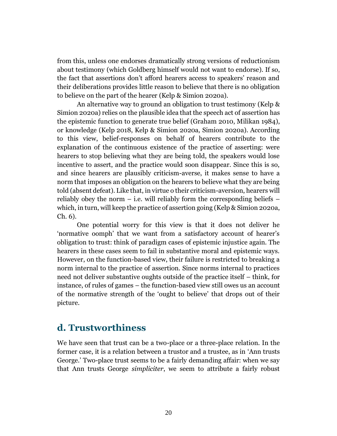from this, unless one endorses dramatically strong versions of reductionism about testimony (which Goldberg himself would not want to endorse). If so, the fact that assertions don't afford hearers access to speakers' reason and their deliberations provides little reason to believe that there is no obligation to believe on the part of the hearer (Kelp & Simion 2020a).

An alternative way to ground an obligation to trust testimony (Kelp & Simion 2020a) relies on the plausible idea that the speech act of assertion has the epistemic function to generate true belief (Graham 2010, Milikan 1984), or knowledge (Kelp 2018, Kelp & Simion 2020a, Simion 2020a). According to this view, belief-responses on behalf of hearers contribute to the explanation of the continuous existence of the practice of asserting: were hearers to stop believing what they are being told, the speakers would lose incentive to assert, and the practice would soon disappear. Since this is so, and since hearers are plausibly criticism-averse, it makes sense to have a norm that imposes an obligation on the hearers to believe what they are being told (absent defeat). Like that, in virtue o their criticism-aversion, hearers will reliably obey the norm  $-$  i.e. will reliably form the corresponding beliefs  $$ which, in turn, will keep the practice of assertion going (Kelp & Simion 2020a, Ch. 6).

One potential worry for this view is that it does not deliver he 'normative oomph' that we want from a satisfactory account of hearer's obligation to trust: think of paradigm cases of epistemic injustice again. The hearers in these cases seem to fail in substantive moral and epistemic ways. However, on the function-based view, their failure is restricted to breaking a norm internal to the practice of assertion. Since norms internal to practices need not deliver substantive oughts outside of the practice itself – think, for instance, of rules of games – the function-based view still owes us an account of the normative strength of the 'ought to believe' that drops out of their picture.

### <span id="page-19-0"></span>**d. Trustworthiness**

We have seen that trust can be a two-place or a three-place relation. In the former case, it is a relation between a trustor and a trustee, as in 'Ann trusts George.' Two-place trust seems to be a fairly demanding affair: when we say that Ann trusts George *simpliciter*, we seem to attribute a fairly robust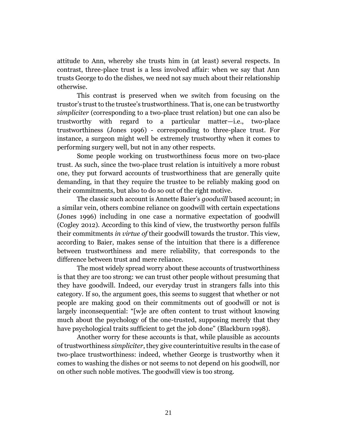attitude to Ann, whereby she trusts him in (at least) several respects. In contrast, three-place trust is a less involved affair: when we say that Ann trusts George to do the dishes, we need not say much about their relationship otherwise.

This contrast is preserved when we switch from focusing on the trustor's trust to the trustee's trustworthiness. That is, one can be trustworthy *simpliciter* (corresponding to a two-place trust relation) but one can also be trustworthy with regard to a particular matter—i.e., two-place trustworthiness (Jones 1996) - corresponding to three-place trust. For instance, a surgeon might well be extremely trustworthy when it comes to performing surgery well, but not in any other respects.

Some people working on trustworthiness focus more on two-place trust. As such, since the two-place trust relation is intuitively a more robust one, they put forward accounts of trustworthiness that are generally quite demanding, in that they require the trustee to be reliably making good on their commitments, but also to do so out of the right motive.

The classic such account is Annette Baier's *goodwill* based account; in a similar vein, others combine reliance on goodwill with certain expectations (Jones 1996) including in one case a normative expectation of goodwill (Cogley 2012). According to this kind of view, the trustworthy person fulfils their commitments *in virtue of* their goodwill towards the trustor. This view, according to Baier, makes sense of the intuition that there is a difference between trustworthiness and mere reliability, that corresponds to the difference between trust and mere reliance.

The most widely spread worry about these accounts of trustworthiness is that they are too strong: we can trust other people without presuming that they have goodwill. Indeed, our everyday trust in strangers falls into this category. If so, the argument goes, this seems to suggest that whether or not people are making good on their commitments out of goodwill or not is largely inconsequential: "[w]e are often content to trust without knowing much about the psychology of the one-trusted, supposing merely that they have psychological traits sufficient to get the job done" (Blackburn 1998).

Another worry for these accounts is that, while plausible as accounts of trustworthiness *simpliciter*, they give counterintuitive results in the case of two-place trustworthiness: indeed, whether George is trustworthy when it comes to washing the dishes or not seems to not depend on his goodwill, nor on other such noble motives. The goodwill view is too strong.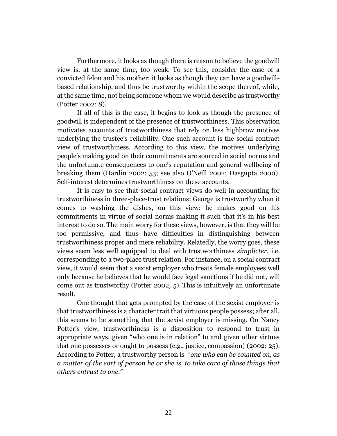Furthermore, it looks as though there is reason to believe the goodwill view is, at the same time, too weak. To see this, consider the case of a convicted felon and his mother: it looks as though they can have a goodwillbased relationship, and thus be trustworthy within the scope thereof, while, at the same time, not being someone whom we would describe as trustworthy (Potter 2002: 8).

If all of this is the case, it begins to look as though the presence of goodwill is independent of the presence of trustworthiness. This observation motivates accounts of trustworthiness that rely on less highbrow motives underlying the trustee's reliability. One such account is the social contract view of trustworthiness. According to this view, the motives underlying people's making good on their commitments are sourced in social norms and the unfortunate consequences to one's reputation and general wellbeing of breaking them (Hardin 2002: 53; see also O'Neill 2002; Dasgupta 2000). Self-interest determines trustworthiness on these accounts.

It is easy to see that social contract views do well in accounting for trustworthiness in three-place-trust relations: George is trustworthy when it comes to washing the dishes, on this view: he makes good on his commitments in virtue of social norms making it such that it's in his best interest to do so. The main worry for these views, however, is that they will be too permissive, and thus have difficulties in distinguishing between trustworthiness proper and mere reliability. Relatedly, the worry goes, these views seem less well equipped to deal with trustworthiness *simplicter*, i.e. corresponding to a two-place trust relation. For instance, on a social contract view, it would seem that a sexist employer who treats female employees well only because he believes that he would face legal sanctions if he did not, will come out as trustworthy (Potter 2002, 5). This is intuitively an unfortunate result.

One thought that gets prompted by the case of the sexist employer is that trustworthiness is a character trait that virtuous people possess; after all, this seems to be something that the sexist employer is missing. On Nancy Potter's view, trustworthiness is a disposition to respond to trust in appropriate ways, given "who one is in relation" to and given other virtues that one possesses or ought to possess (e.g., justice, compassion) (2002: 25). According to Potter, a trustworthy person is "*one who can be counted on, as a matter of the sort of person he or she is, to take care of those things that others entrust to one."*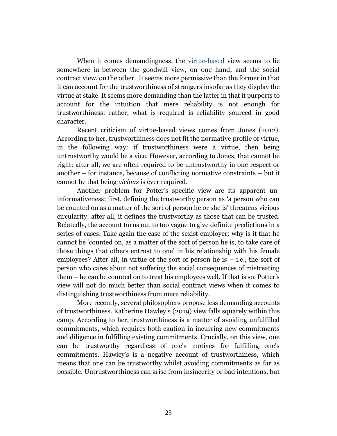When it comes demandingness, the [virtue-based](https://www.iep.utm.edu/virtue/) view seems to lie somewhere in-between the goodwill view, on one hand, and the social contract view, on the other. It seems more permissive than the former in that it can account for the trustworthiness of strangers insofar as they display the virtue at stake. It seems more demanding than the latter in that it purports to account for the intuition that mere reliability is not enough for trustworthiness: rather, what is required is reliability sourced in good character.

Recent criticism of virtue-based views comes from Jones (2012). According to her, trustworthiness does not fit the normative profile of virtue, in the following way: if trustworthiness were a virtue, then being untrustworthy would be a vice. However, according to Jones, that cannot be right: after all, we are often required to be untrustworthy in one respect or another – for instance, because of conflicting normative constraints – but it cannot be that being *vicious* is ever required.

Another problem for Potter's specific view are its apparent uninformativeness; first, defining the trustworthy person as 'a person who can be counted on as a matter of the sort of person he or she is' threatens vicious circularity: after all, it defines the trustworthy as those that can be trusted. Relatedly, the account turns out to too vague to give definite predictions in a series of cases. Take again the case of the sexist employer: why is it that he cannot be 'counted on, as a matter of the sort of person he is, to take care of those things that others entrust to one' in his relationship with his female employees? After all, in virtue of the sort of person he is  $-$  i.e., the sort of person who cares about not suffering the social consequences of mistreating them – he can be counted on to treat his employees well. If that is so, Potter's view will not do much better than social contract views when it comes to distinguishing trustworthiness from mere reliability.

More recently, several philosophers propose less demanding accounts of trustworthiness. Katherine Hawley's (2019) view falls squarely within this camp. According to her, trustworthiness is a matter of avoiding unfulfilled commitments, which requires both caution in incurring new commitments and diligence in fulfilling existing commitments. Crucially, on this view, one can be trustworthy regardless of one's motives for fulfilling one's commitments. Hawley's is a negative account of trustworthiness, which means that one can be trustworthy whilst avoiding commitments as far as possible. Untrustworthiness can arise from insincerity or bad intentions, but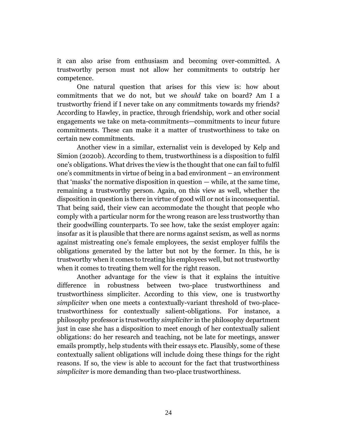it can also arise from enthusiasm and becoming over-committed. A trustworthy person must not allow her commitments to outstrip her competence.

One natural question that arises for this view is: how about commitments that we do not, but we *should* take on board? Am I a trustworthy friend if I never take on any commitments towards my friends? According to Hawley, in practice, through friendship, work and other social engagements we take on meta-commitments—commitments to incur future commitments. These can make it a matter of trustworthiness to take on certain new commitments.

Another view in a similar, externalist vein is developed by Kelp and Simion (2020b). According to them, trustworthiness is a disposition to fulfil one's obligations. What drives the view is the thought that one can fail to fulfil one's commitments in virtue of being in a bad environment – an environment that 'masks' the normative disposition in question — while, at the same time, remaining a trustworthy person. Again, on this view as well, whether the disposition in question is there in virtue of good will or not is inconsequential. That being said, their view can accommodate the thought that people who comply with a particular norm for the wrong reason are less trustworthy than their goodwilling counterparts. To see how, take the sexist employer again: insofar as it is plausible that there are norms against sexism, as well as norms against mistreating one's female employees, the sexist employer fulfils the obligations generated by the latter but not by the former. In this, he is trustworthy when it comes to treating his employees well, but not trustworthy when it comes to treating them well for the right reason.

Another advantage for the view is that it explains the intuitive difference in robustness between two-place trustworthiness and trustworthiness simpliciter. According to this view, one is trustworthy *simpliciter* when one meets a contextually-variant threshold of two-placetrustworthiness for contextually salient-obligations. For instance, a philosophy professor is trustworthy *simpliciter* in the philosophy department just in case she has a disposition to meet enough of her contextually salient obligations: do her research and teaching, not be late for meetings, answer emails promptly, help students with their essays etc. Plausibly, some of these contextually salient obligations will include doing these things for the right reasons. If so, the view is able to account for the fact that trustworthiness *simpliciter* is more demanding than two-place trustworthiness.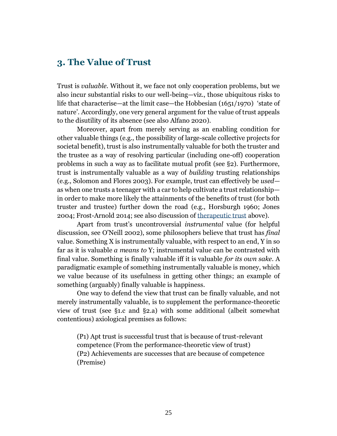#### <span id="page-24-0"></span>**3. The Value of Trust**

Trust is *valuable.* Without it, we face not only cooperation problems, but we also incur substantial risks to our well-being—viz., those ubiquitous risks to life that characterise—at the limit case—the Hobbesian (1651/1970) 'state of nature'. Accordingly, one very general argument for the value of trust appeals to the disutility of its absence (see also Alfano 2020).

Moreover, apart from merely serving as an enabling condition for other valuable things (e.g., the possibility of large-scale collective projects for societal benefit), trust is also instrumentally valuable for both the truster and the trustee as a way of resolving particular (including one-off) cooperation problems in such a way as to facilitate mutual profit (see §2). Furthermore, trust is instrumentally valuable as a way of *building* trusting relationships (e.g., Solomon and Flores 2003). For example, trust can effectively be *used* as when one trusts a teenager with a car to help cultivate a trust relationship in order to make more likely the attainments of the benefits of trust (for both truster and trustee) further down the road (e.g., Horsburgh 1960; Jones 2004; Frost-Arnold 2014; see also discussion of therapeutic trust above).

Apart from trust's uncontroversial *instrumental* value (for helpful discussion, see O'Neill 2002), some philosophers believe that trust has *final* value. Something X is instrumentally valuable, with respect to an end, Y in so far as it is valuable *a means to* Y; instrumental value can be contrasted with final value. Something is finally valuable iff it is valuable *for its own sake*. A paradigmatic example of something instrumentally valuable is money, which we value because of its usefulness in getting other things; an example of something (arguably) finally valuable is happiness.

One way to defend the view that trust can be finally valuable, and not merely instrumentally valuable, is to supplement the performance-theoretic view of trust (see §1.c and §2.a) with some additional (albeit somewhat contentious) axiological premises as follows:

(P1) Apt trust is successful trust that is because of trust-relevant competence (From the performance-theoretic view of trust) (P2) Achievements are successes that are because of competence (Premise)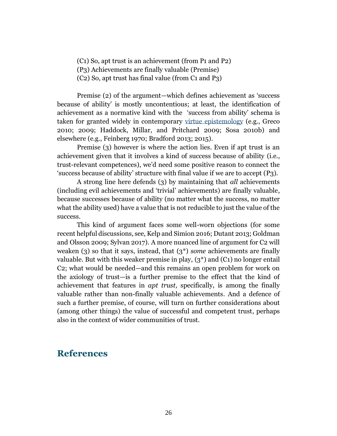(C1) So, apt trust is an achievement (from P1 and P2)

(P3) Achievements are finally valuable (Premise)

(C2) So, apt trust has final value (from C1 and P3)

Premise (2) of the argument—which defines achievement as 'success because of ability' is mostly uncontentious; at least, the identification of achievement as a normative kind with the 'success from ability' schema is taken for granted widely in contemporary [virtue epistemology](https://www.iep.utm.edu/virtueep/) (e.g., Greco 2010; 2009; Haddock, Millar, and Pritchard 2009; Sosa 2010b) and elsewhere (e.g., Feinberg 1970; Bradford 2013; 2015).

Premise (3) however is where the action lies. Even if apt trust is an achievement given that it involves a kind of success because of ability (i.e., trust-relevant competences), we'd need some positive reason to connect the 'success because of ability' structure with final value if we are to accept (P3).

A strong line here defends (3) by maintaining that *all* achievements (including evil achievements and 'trivial' achievements) are finally valuable, because successes because of ability (no matter what the success, no matter what the ability used) have a value that is not reducible to just the value of the success.

This kind of argument faces some well-worn objections (for some recent helpful discussions, see, Kelp and Simion 2016; Dutant 2013; Goldman and Olsson 2009; Sylvan 2017). A more nuanced line of argument for C2 will weaken (3) so that it says, instead, that (3\*) *some* achievements are finally valuable. But with this weaker premise in play,  $(3^*)$  and  $(C_1)$  no longer entail C2; what would be needed—and this remains an open problem for work on the axiology of trust—is a further premise to the effect that the kind of achievement that features in *apt trust,* specifically, is among the finally valuable rather than non-finally valuable achievements. And a defence of such a further premise, of course, will turn on further considerations about (among other things) the value of successful and competent trust, perhaps also in the context of wider communities of trust.

### <span id="page-25-0"></span>**References**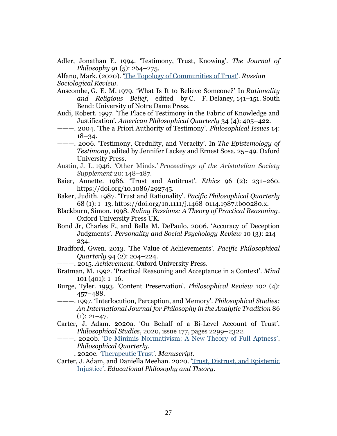Adler, Jonathan E. 1994. 'Testimony, Trust, Knowing'. *The Journal of Philosophy* 91 (5): 264–275.

Alfano, Mark. (2020). ['The Topology of Communities of Trust'](https://www.researchgate.net/publication/312409130_The_Topology_of_Communities_of_Trust). *Russian Sociological Review*.

- Anscombe, G. E. M. 1979. 'What Is It to Believe Someone?' In *Rationality and Religious Belief*, edited by C. F. Delaney, 141–151. South Bend: University of Notre Dame Press.
- Audi, Robert. 1997. 'The Place of Testimony in the Fabric of Knowledge and Justification'. *American Philosophical Quarterly* 34 (4): 405–422.
- ———. 2004. 'The a Priori Authority of Testimony'. *Philosophical Issues* 14: 18–34.
- ———. 2006. 'Testimony, Credulity, and Veracity'. In *The Epistemology of Testimony*, edited by Jennifer Lackey and Ernest Sosa, 25–49. Oxford University Press.
- Austin, J. L. 1946. 'Other Minds.' *Proceedings of the Aristotelian Society Supplement* 20: 148–187.
- Baier, Annette. 1986. 'Trust and Antitrust'. *Ethics* 96 (2): 231–260. https://doi.org/10.1086/292745.
- Baker, Judith. 1987. 'Trust and Rationality'. *Pacific Philosophical Quarterly* 68 (1): 1–13. https://doi.org/10.1111/j.1468-0114.1987.tb00280.x.
- Blackburn, Simon. 1998. *Ruling Passions: A Theory of Practical Reasoning*. Oxford University Press UK.
- Bond Jr, Charles F., and Bella M. DePaulo. 2006. 'Accuracy of Deception Judgments'. *Personality and Social Psychology Review* 10 (3): 214– 234.
- Bradford, Gwen. 2013. 'The Value of Achievements'. *Pacific Philosophical Quarterly* 94 (2): 204–224.
- ———. 2015. *Achievement*. Oxford University Press.
- Bratman, M. 1992. 'Practical Reasoning and Acceptance in a Context'. *Mind* 101 (401): 1–16.
- Burge, Tyler. 1993. 'Content Preservation'. *Philosophical Review* 102 (4): 457–488.
- ———. 1997. 'Interlocution, Perception, and Memory'. *Philosophical Studies: An International Journal for Philosophy in the Analytic Tradition* 86  $(1): 21-47.$
- Carter, J. Adam. 2020a. 'On Behalf of a Bi-Level Account of Trust'. *Philosophical Studies*, 2020, issue 177, pages 2299–2322.
- ———. 2020b. ['De Minimis Normativism: A New Theory of Full Aptness'](https://www.dropbox.com/s/pxwwnkydhlsolyw/pqaa017-2.pdf?dl=0). *Philosophical Quarterly*.

———. 2020c. 'The[rapeutic Trust'](https://www.dropbox.com/s/te20754n29bpifb/therapeutictrust.pdf?dl=0). *Manuscript*.

Carter, J. Adam, and Daniella Meehan. 2020. '[Trust, Distrust, and Epistemic](https://www.dropbox.com/s/w563dviyljzkbus/ejtrust.pdf?dl=0)  [Injustice'](https://www.dropbox.com/s/w563dviyljzkbus/ejtrust.pdf?dl=0). *Educational Philosophy and Theory*.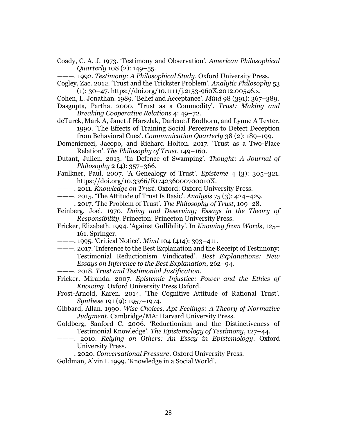Coady, C. A. J. 1973. 'Testimony and Observation'. *American Philosophical Quarterly* 108 (2): 149–55.

———. 1992. *Testimony: A Philosophical Study*. Oxford University Press.

- Cogley, Zac. 2012. 'Trust and the Trickster Problem'. *Analytic Philosophy* 53  $(1): 30-47.$  https://doi.org/10.1111/j.2153-960X.2012.00546.x.
- Cohen, L. Jonathan. 1989. 'Belief and Acceptance'. *Mind* 98 (391): 367–389.
- Dasgupta, Partha. 2000. 'Trust as a Commodity'. *Trust: Making and Breaking Cooperative Relations* 4: 49–72.
- deTurck, Mark A, Janet J Harszlak, Darlene J Bodhorn, and Lynne A Texter. 1990. 'The Effects of Training Social Perceivers to Detect Deception from Behavioral Cues'. *Communication Quarterly* 38 (2): 189–199.
- Domenicucci, Jacopo, and Richard Holton. 2017. 'Trust as a Two-Place Relation'. *The Philosophy of Trust*, 149–160.
- Dutant, Julien. 2013. 'In Defence of Swamping'. *Thought: A Journal of Philosophy* 2 (4): 357–366.
- Faulkner, Paul. 2007. 'A Genealogy of Trust'. *Episteme* 4 (3): 305–321. https://doi.org/10.3366/E174236000700010X.
- ———. 2011. *Knowledge on Trust*. Oxford: Oxford University Press.
- ———. 2015. 'The Attitude of Trust Is Basic'. *Analysis* 75 (3): 424–429.
- ———. 2017. 'The Problem of Trust'. *The Philosophy of Trust*, 109–28.
- Feinberg, Joel. 1970. *Doing and Deserving; Essays in the Theory of Responsibility*. Princeton: Princeton University Press.
- Fricker, Elizabeth. 1994. 'Against Gullibility'. In *Knowing from Words*, 125– 161. Springer.
- ———. 1995. 'Critical Notice'. *Mind* 104 (414): 393–411.
- ———. 2017. 'Inference to the Best Explanation and the Receipt of Testimony: Testimonial Reductionism Vindicated'. *Best Explanations: New Essays on Inference to the Best Explanation*, 262–94.
- ———. 2018. *Trust and Testimonial Justification*.
- Fricker, Miranda. 2007. *Epistemic Injustice: Power and the Ethics of Knowing*. Oxford University Press Oxford.
- Frost-Arnold, Karen. 2014. 'The Cognitive Attitude of Rational Trust'. *Synthese* 191 (9): 1957–1974.
- Gibbard, Allan. 1990. *Wise Choices, Apt Feelings: A Theory of Normative Judgment*. Cambridge/MA: Harvard University Press.
- Goldberg, Sanford C. 2006. 'Reductionism and the Distinctiveness of Testimonial Knowledge'. *The Epistemology of Testimony*, 127–44.
- ———. 2010. *Relying on Others: An Essay in Epistemology*. Oxford University Press.
- ———. 2020. *Conversational Pressure*. Oxford University Press.

Goldman, Alvin I. 1999. 'Knowledge in a Social World'.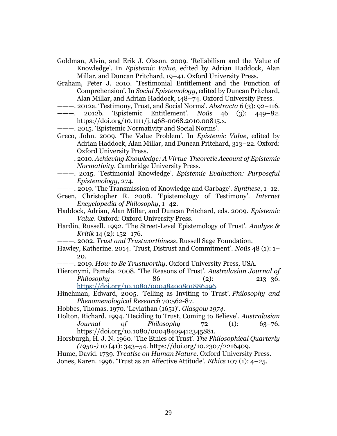- Goldman, Alvin, and Erik J. Olsson. 2009. 'Reliabilism and the Value of Knowledge'. In *Epistemic Value*, edited by Adrian Haddock, Alan Millar, and Duncan Pritchard, 19–41. Oxford University Press.
- Graham, Peter J. 2010. 'Testimonial Entitlement and the Function of Comprehension'. In *Social Epistemology*, edited by Duncan Pritchard, Alan Millar, and Adrian Haddock, 148–74. Oxford University Press.
- ———. 2012a. 'Testimony, Trust, and Social Norms'. *Abstracta* 6 (3): 92–116.
- ———. 2012b. 'Epistemic Entitlement'. *Noûs* 46 (3): 449–82. https://doi.org/10.1111/j.1468-0068.2010.00815.x.
- ———. 2015. 'Epistemic Normativity and Social Norms'.
- Greco, John. 2009. 'The Value Problem'. In *Epistemic Value*, edited by Adrian Haddock, Alan Millar, and Duncan Pritchard, 313–22. Oxford: Oxford University Press.
- ———. 2010. *Achieving Knowledge: A Virtue-Theoretic Account of Epistemic Normativity*. Cambridge University Press.
- ———. 2015. 'Testimonial Knowledge'. *Epistemic Evaluation: Purposeful Epistemology*, 274.
- ———. 2019. 'The Transmission of Knowledge and Garbage'. *Synthese*, 1–12.
- Green, Christopher R. 2008. 'Epistemology of Testimony'. *Internet Encyclopedia of Philosophy*, 1–42.
- Haddock, Adrian, Alan Millar, and Duncan Pritchard, eds. 2009. *Epistemic Value*. Oxford: Oxford University Press.
- Hardin, Russell. 1992. 'The Street-Level Epistemology of Trust'. *Analyse & Kritik* 14 (2): 152–176.
- ———. 2002. *Trust and Trustworthiness*. Russell Sage Foundation.
- Hawley, Katherine. 2014. 'Trust, Distrust and Commitment'. *Noûs* 48 (1): 1– 20.
- ———. 2019. *How to Be Trustworthy*. Oxford University Press, USA.
- Hieronymi, Pamela. 2008. 'The Reasons of Trust'. *Australasian Journal of Philosophy* 86 (2): 213–36. [https://doi.org/10.1080/00048400801886496.](https://doi.org/10.1080/00048400801886496)
- Hinchman, Edward, 2005. 'Telling as Inviting to Trust'. *Philosophy and Phenomenological Research* 70:562-87.
- Hobbes, Thomas. 1970. 'Leviathan (1651)'. *Glasgow 1974*.
- Holton, Richard. 1994. 'Deciding to Trust, Coming to Believe'. *Australasian Journal of Philosophy* 72 (1): 63–76. https://doi.org/10.1080/00048409412345881.
- Horsburgh, H. J. N. 1960. 'The Ethics of Trust'. *The Philosophical Quarterly (1950-)* 10 (41): 343–54. https://doi.org/10.2307/2216409.

Hume, David. 1739. *Treatise on Human Nature*. Oxford University Press.

Jones, Karen. 1996. 'Trust as an Affective Attitude'. *Ethics* 107 (1): 4–25.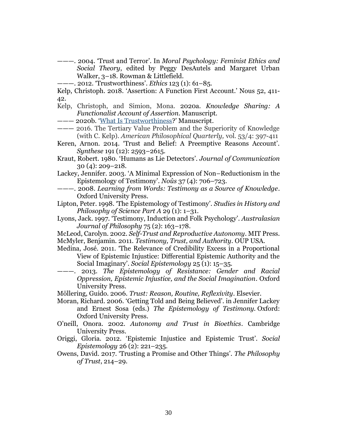- ———. 2004. 'Trust and Terror'. In *Moral Psychology: Feminist Ethics and Social Theory*, edited by Peggy DesAutels and Margaret Urban Walker, 3–18. Rowman & Littlefield.
- ———. 2012. 'Trustworthiness'. *Ethics* 123 (1): 61–85.
- Kelp, Christoph. 2018. 'Assertion: A Function First Account.' Nous 52, 411- 42.
- Kelp, Christoph, and Simion, Mona. 2020a. *Knowledge Sharing: A Functionalist Account of Assertion.* Manuscript.
- ——— 2020b. '[What Is Trustworthiness?](https://www.dropbox.com/s/brzp6vzn5fupf2o/KelpSimion_WIT_July2020.docx?dl=0)' Manuscript.
- ——— 2016. The Tertiary Value Problem and the Superiority of Knowledge (with C. Kelp). *American Philosophical Quarterly,* vol. 53/4: 397-411
- Keren, Arnon. 2014. 'Trust and Belief: A Preemptive Reasons Account'. *Synthese* 191 (12): 2593–2615.
- Kraut, Robert. 1980. 'Humans as Lie Detectors'. *Journal of Communication* 30 (4): 209–218.
- Lackey, Jennifer. 2003. 'A Minimal Expression of Non–Reductionism in the Epistemology of Testimony'. *Noûs* 37 (4): 706–723.
- ———. 2008. *Learning from Words: Testimony as a Source of Knowledge*. Oxford University Press.
- Lipton, Peter. 1998. 'The Epistemology of Testimony'. *Studies in History and Philosophy of Science Part A* 29 (1): 1–31.
- Lyons, Jack. 1997. 'Testimony, Induction and Folk Psychology'. *Australasian Journal of Philosophy* 75 (2): 163–178.
- McLeod, Carolyn. 2002. *Self-Trust and Reproductive Autonomy*. MIT Press. McMyler, Benjamin. 2011. *Testimony, Trust, and Authority*. OUP USA.
- Medina, José. 2011. 'The Relevance of Credibility Excess in a Proportional View of Epistemic Injustice: Differential Epistemic Authority and the Social Imaginary'. *Social Epistemology* 25 (1): 15–35.
- ———. 2013. *The Epistemology of Resistance: Gender and Racial Oppression, Epistemic Injustice, and the Social Imagination*. Oxford University Press.
- Möllering, Guido. 2006. *Trust: Reason, Routine, Reflexivity*. Elsevier.
- Moran, Richard. 2006. 'Getting Told and Being Believed'. in Jennifer Lackey and Ernest Sosa (eds.) *The Epistemology of Testimony.* Oxford: Oxford University Press.
- O'neill, Onora. 2002. *Autonomy and Trust in Bioethics*. Cambridge University Press.
- Origgi, Gloria. 2012. 'Epistemic Injustice and Epistemic Trust'. *Social Epistemology* 26 (2): 221–235.
- Owens, David. 2017. 'Trusting a Promise and Other Things'. *The Philosophy of Trust*, 214–29.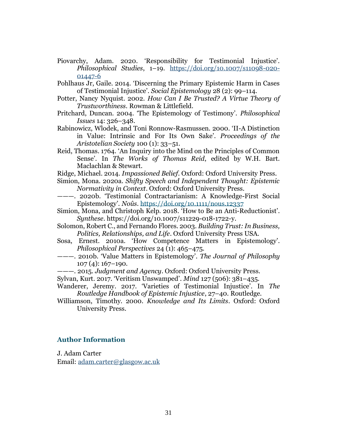- Piovarchy, Adam. 2020. 'Responsibility for Testimonial Injustice'. *Philosophical Studies*, 1–19. [https://doi.org/10.1007/s11098-020-](https://doi.org/10.1007/s11098-020-01447-6) [01447-6](https://doi.org/10.1007/s11098-020-01447-6)
- Pohlhaus Jr, Gaile. 2014. 'Discerning the Primary Epistemic Harm in Cases of Testimonial Injustice'. *Social Epistemology* 28 (2): 99–114.
- Potter, Nancy Nyquist. 2002. *How Can I Be Trusted? A Virtue Theory of Trustworthiness*. Rowman & Littlefield.
- Pritchard, Duncan. 2004. 'The Epistemology of Testimony'. *Philosophical Issues* 14: 326–348.
- Rabinowicz, Wlodek, and Toni Ronnow-Rasmussen. 2000. 'II-A Distinction in Value: Intrinsic and For Its Own Sake'. *Proceedings of the Aristotelian Society* 100 (1): 33–51.
- Reid, Thomas. 1764. 'An Inquiry into the Mind on the Principles of Common Sense'. In *The Works of Thomas Reid*, edited by W.H. Bart. Maclachlan & Stewart.
- Ridge, Michael. 2014. *Impassioned Belief*. Oxford: Oxford University Press.
- Simion, Mona. 2020a. *Shifty Speech and Independent Thought: Epistemic Normativity in Context*. Oxford: Oxford University Press.
- ———. 2020b. 'Testimonial Contractarianism: A Knowledge-First Social Epistemology'. *Noûs*. <https://doi.org/10.1111/nous.12337>
- Simion, Mona, and Christoph Kelp. 2018. 'How to Be an Anti-Reductionist'. *Synthese*. https://doi.org/10.1007/s11229-018-1722-y.
- Solomon, Robert C., and Fernando Flores. 2003. *Building Trust: In Business, Politics, Relationships, and Life*. Oxford University Press USA.
- Sosa, Ernest. 2010a. 'How Competence Matters in Epistemology'. *Philosophical Perspectives* 24 (1): 465–475.
- ———. 2010b. 'Value Matters in Epistemology'. *The Journal of Philosophy*  $107(4): 167-190.$
- ———. 2015. *Judgment and Agency*. Oxford: Oxford University Press.
- Sylvan, Kurt. 2017. 'Veritism Unswamped'. *Mind* 127 (506): 381–435.
- Wanderer, Jeremy. 2017. 'Varieties of Testimonial Injustice'. In *The Routledge Handbook of Epistemic Injustice*, 27–40. Routledge.
- Williamson, Timothy. 2000. *Knowledge and Its Limits*. Oxford: Oxford University Press.

#### **Author Information**

J. Adam Carter Email: [adam.carter@glasgow.ac.uk](mailto:adam.carter@glasgow.ac.uk)